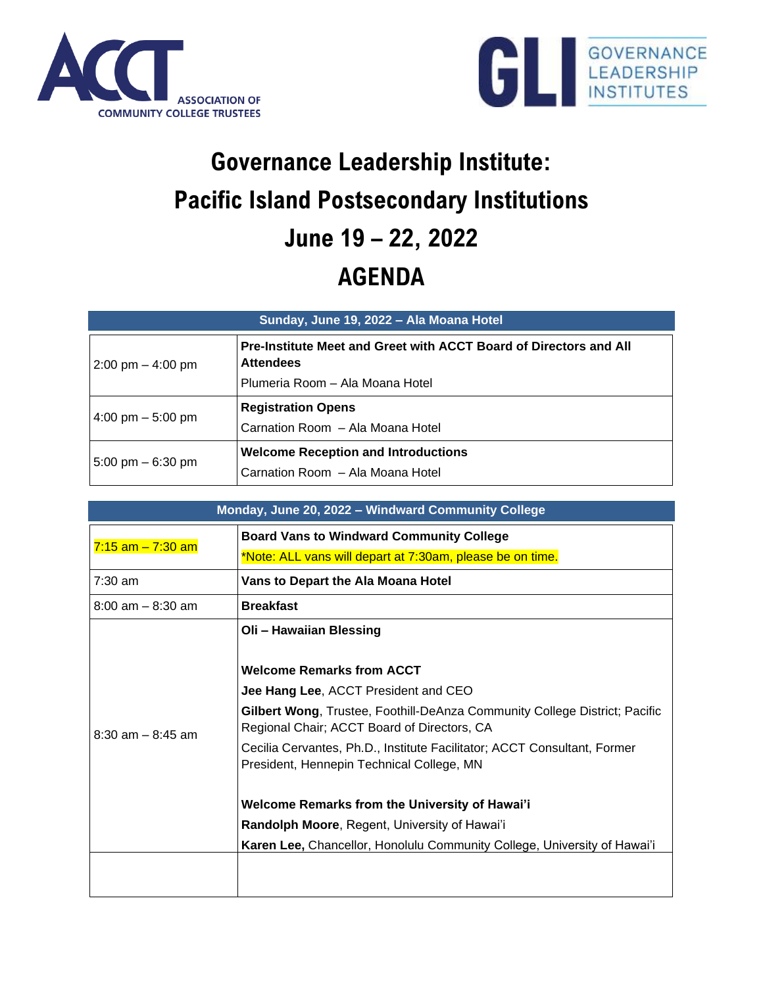



## **Governance Leadership Institute: Pacific Island Postsecondary Institutions June 19 – 22, 2022 AGENDA**

| Sunday, June 19, 2022 - Ala Moana Hotel |                                                                                              |
|-----------------------------------------|----------------------------------------------------------------------------------------------|
| $2:00 \text{ pm} - 4:00 \text{ pm}$     | <b>Pre-Institute Meet and Greet with ACCT Board of Directors and All</b><br><b>Attendees</b> |
|                                         | Plumeria Room - Ala Moana Hotel                                                              |
| 4:00 pm $-$ 5:00 pm                     | <b>Registration Opens</b><br>Carnation Room - Ala Moana Hotel                                |
| $5:00 \text{ pm} - 6:30 \text{ pm}$     | <b>Welcome Reception and Introductions</b><br>Carnation Room - Ala Moana Hotel               |

| Monday, June 20, 2022 - Windward Community College |                                                                                                                                                                                                                                                                                                                                                           |  |
|----------------------------------------------------|-----------------------------------------------------------------------------------------------------------------------------------------------------------------------------------------------------------------------------------------------------------------------------------------------------------------------------------------------------------|--|
| $7:15$ am $-7:30$ am                               | <b>Board Vans to Windward Community College</b><br>*Note: ALL vans will depart at 7:30am, please be on time.                                                                                                                                                                                                                                              |  |
| $7:30$ am                                          | Vans to Depart the Ala Moana Hotel                                                                                                                                                                                                                                                                                                                        |  |
| $8:00$ am $-8:30$ am                               | <b>Breakfast</b>                                                                                                                                                                                                                                                                                                                                          |  |
| $8:30$ am $-8:45$ am                               | Oli - Hawaiian Blessing<br><b>Welcome Remarks from ACCT</b><br>Jee Hang Lee, ACCT President and CEO<br>Gilbert Wong, Trustee, Foothill-DeAnza Community College District; Pacific<br>Regional Chair; ACCT Board of Directors, CA<br>Cecilia Cervantes, Ph.D., Institute Facilitator; ACCT Consultant, Former<br>President, Hennepin Technical College, MN |  |
|                                                    | Welcome Remarks from the University of Hawai'i<br>Randolph Moore, Regent, University of Hawai'i<br>Karen Lee, Chancellor, Honolulu Community College, University of Hawai'i                                                                                                                                                                               |  |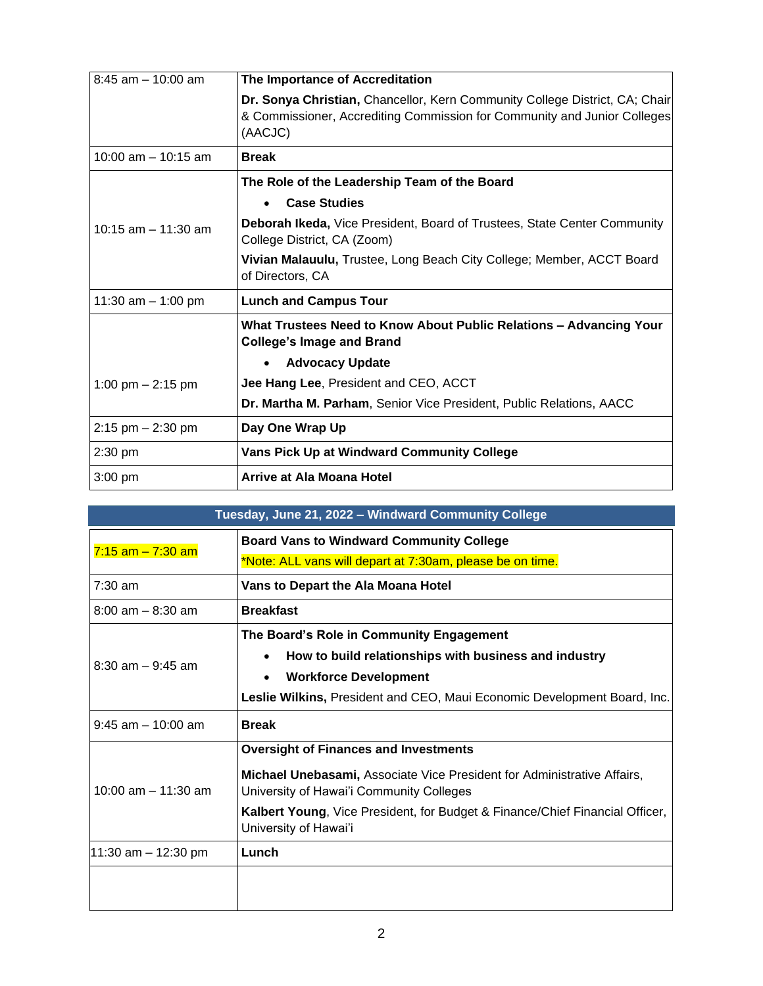| $8:45$ am $-10:00$ am  | The Importance of Accreditation                                                                                                                                    |
|------------------------|--------------------------------------------------------------------------------------------------------------------------------------------------------------------|
|                        | Dr. Sonya Christian, Chancellor, Kern Community College District, CA; Chair<br>& Commissioner, Accrediting Commission for Community and Junior Colleges<br>(AACJC) |
| $10:00$ am $-10:15$ am | <b>Break</b>                                                                                                                                                       |
|                        | The Role of the Leadership Team of the Board                                                                                                                       |
|                        | <b>Case Studies</b><br>$\bullet$                                                                                                                                   |
| 10:15 $am - 11:30 am$  | Deborah Ikeda, Vice President, Board of Trustees, State Center Community<br>College District, CA (Zoom)                                                            |
|                        | Vivian Malauulu, Trustee, Long Beach City College; Member, ACCT Board<br>of Directors, CA                                                                          |
| 11:30 am $-$ 1:00 pm   | <b>Lunch and Campus Tour</b>                                                                                                                                       |
|                        | What Trustees Need to Know About Public Relations - Advancing Your<br><b>College's Image and Brand</b>                                                             |
|                        | <b>Advocacy Update</b>                                                                                                                                             |
| 1:00 pm $- 2:15$ pm    | Jee Hang Lee, President and CEO, ACCT                                                                                                                              |
|                        | Dr. Martha M. Parham, Senior Vice President, Public Relations, AACC                                                                                                |
| $2:15$ pm $-2:30$ pm   | Day One Wrap Up                                                                                                                                                    |
| $2:30$ pm              | Vans Pick Up at Windward Community College                                                                                                                         |
| $3:00$ pm              | Arrive at Ala Moana Hotel                                                                                                                                          |

| Tuesday, June 21, 2022 - Windward Community College |                                                                                                                     |
|-----------------------------------------------------|---------------------------------------------------------------------------------------------------------------------|
| $7:15$ am $-7:30$ am                                | <b>Board Vans to Windward Community College</b>                                                                     |
|                                                     | *Note: ALL vans will depart at 7:30am, please be on time.                                                           |
| 7:30 am                                             | Vans to Depart the Ala Moana Hotel                                                                                  |
| $8:00$ am $-8:30$ am                                | <b>Breakfast</b>                                                                                                    |
| $8:30$ am $-9:45$ am                                | The Board's Role in Community Engagement                                                                            |
|                                                     | How to build relationships with business and industry                                                               |
|                                                     | <b>Workforce Development</b>                                                                                        |
|                                                     | Leslie Wilkins, President and CEO, Maui Economic Development Board, Inc.                                            |
| $9:45$ am $-10:00$ am                               | <b>Break</b>                                                                                                        |
| $10:00$ am $-11:30$ am                              | <b>Oversight of Finances and Investments</b>                                                                        |
|                                                     | Michael Unebasami, Associate Vice President for Administrative Affairs,<br>University of Hawai'i Community Colleges |
|                                                     | Kalbert Young, Vice President, for Budget & Finance/Chief Financial Officer,<br>University of Hawai'i               |
| 11:30 am - 12:30 pm                                 | Lunch                                                                                                               |
|                                                     |                                                                                                                     |